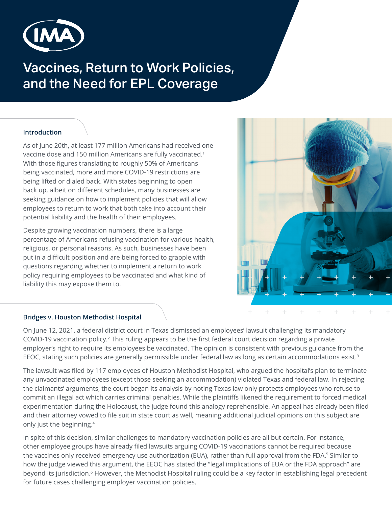

# Vaccines, Return to Work Policies, and the Need for EPL Coverage

## **Introduction**

As of June 20th, at least 177 million Americans had received one vaccine dose and 150 million Americans are fully vaccinated.<sup>1</sup> With those figures translating to roughly 50% of Americans being vaccinated, more and more COVID-19 restrictions are being lifted or dialed back. With states beginning to open back up, albeit on different schedules, many businesses are seeking guidance on how to implement policies that will allow employees to return to work that both take into account their potential liability and the health of their employees.

Despite growing vaccination numbers, there is a large percentage of Americans refusing vaccination for various health, religious, or personal reasons. As such, businesses have been put in a difficult position and are being forced to grapple with questions regarding whether to implement a return to work policy requiring employees to be vaccinated and what kind of liability this may expose them to.



## **Bridges v. Houston Methodist Hospital**

On June 12, 2021, a federal district court in Texas dismissed an employees' lawsuit challenging its mandatory COVID-19 vaccination policy.<sup>2</sup> This ruling appears to be the first federal court decision regarding a private employer's right to require its employees be vaccinated. The opinion is consistent with previous guidance from the EEOC, stating such policies are generally permissible under federal law as long as certain accommodations exist.<sup>3</sup>

The lawsuit was filed by 117 employees of Houston Methodist Hospital, who argued the hospital's plan to terminate any unvaccinated employees (except those seeking an accommodation) violated Texas and federal law. In rejecting the claimants' arguments, the court began its analysis by noting Texas law only protects employees who refuse to commit an illegal act which carries criminal penalties. While the plaintiffs likened the requirement to forced medical experimentation during the Holocaust, the judge found this analogy reprehensible. An appeal has already been filed and their attorney vowed to file suit in state court as well, meaning additional judicial opinions on this subject are only just the beginning.<sup>4</sup>

In spite of this decision, similar challenges to mandatory vaccination policies are all but certain. For instance, other employee groups have already filed lawsuits arguing COVID-19 vaccinations cannot be required because the vaccines only received emergency use authorization (EUA), rather than full approval from the FDA.<sup>5</sup> Similar to how the judge viewed this argument, the EEOC has stated the "legal implications of EUA or the FDA approach" are beyond its jurisdiction.<sup>6</sup> However, the Methodist Hospital ruling could be a key factor in establishing legal precedent for future cases challenging employer vaccination policies.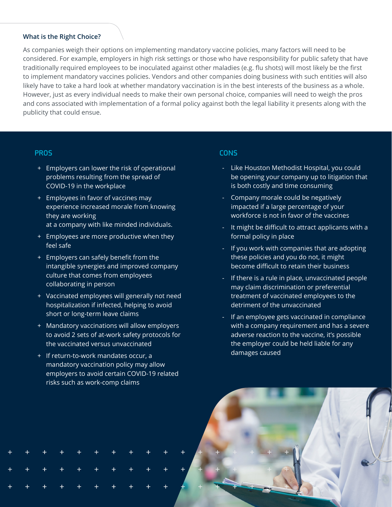#### **What is the Right Choice?**

As companies weigh their options on implementing mandatory vaccine policies, many factors will need to be considered. For example, employers in high risk settings or those who have responsibility for public safety that have traditionally required employees to be inoculated against other maladies (e.g. flu shots) will most likely be the first to implement mandatory vaccines policies. Vendors and other companies doing business with such entities will also likely have to take a hard look at whether mandatory vaccination is in the best interests of the business as a whole. However, just as every individual needs to make their own personal choice, companies will need to weigh the pros and cons associated with implementation of a formal policy against both the legal liability it presents along with the publicity that could ensue.

#### **PROS**

- + Employers can lower the risk of operational problems resulting from the spread of COVID-19 in the workplace
- + Employees in favor of vaccines may experience increased morale from knowing they are working at a company with like minded individuals.
- + Employees are more productive when they feel safe
- + Employers can safely benefit from the intangible synergies and improved company culture that comes from employees collaborating in person
- + Vaccinated employees will generally not need hospitalization if infected, helping to avoid short or long-term leave claims
- + Mandatory vaccinations will allow employers to avoid 2 sets of at-work safety protocols for the vaccinated versus unvaccinated
- + If return-to-work mandates occur, a mandatory vaccination policy may allow employers to avoid certain COVID-19 related risks such as work-comp claims

#### **CONS**

- Like Houston Methodist Hospital, you could be opening your company up to litigation that is both costly and time consuming
- Company morale could be negatively impacted if a large percentage of your workforce is not in favor of the vaccines
- It might be difficult to attract applicants with a formal policy in place
- If you work with companies that are adopting these policies and you do not, it might become difficult to retain their business
- If there is a rule in place, unvaccinated people may claim discrimination or preferential treatment of vaccinated employees to the detriment of the unvaccinated
- If an employee gets vaccinated in compliance with a company requirement and has a severe adverse reaction to the vaccine, it's possible the employer could be held liable for any damages caused